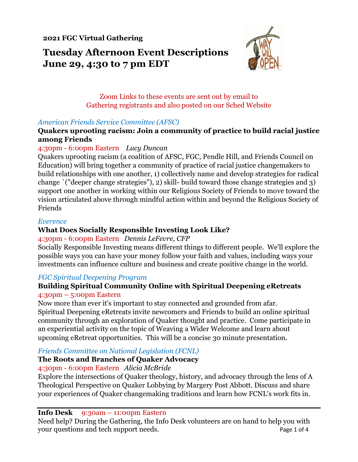**2021 FGC Virtual Gathering**

# **Tuesday Afternoon Event Descriptions June 29, 4:30 to 7 pm EDT**



Zoom Links to these events are sent out by email to Gathering registrants and also posted on our Sched Website

### *American Friends Service Committee (AFSC)*

### **Quakers uprooting racism: Join a community of practice to build racial justice among Friends**

### 4:30pm - 6:00pm Eastern *Lucy Duncan*

Quakers uprooting racism (a coalition of AFSC, FGC, Pendle Hill, and Friends Council on Education) will bring together a community of practice of racial justice changemakers to build relationships with one another, 1) collectively name and develop strategies for radical change `("deeper change strategies"), 2) skill- build toward those change strategies and 3) support one another in working within our Religious Society of Friends to move toward the vision articulated above through mindful action within and beyond the Religious Society of Friends

#### *Everence*

## **What Does Socially Responsible Investing Look Like?**

#### 4:30pm - 6:00pm Eastern *Dennis LeFevre, CFP*

Socially Responsible Investing means different things to different people. We'll explore the possible ways you can have your money follow your faith and values, including ways your investments can influence culture and business and create positive change in the world.

## *FGC Spiritual Deepening Program*

## **Building Spiritual Community Online with Spiritual Deepening eRetreats** 4:30pm – 5:00pm Eastern

Now more than ever it's important to stay connected and grounded from afar. Spiritual Deepening eRetreats invite newcomers and Friends to build an online spiritual community through an exploration of Quaker thought and practice. Come participate in an experiential activity on the topic of Weaving a Wider Welcome and learn about upcoming eRetreat opportunities. This will be a concise 30 minute presentation.

## *Friends Committee on National Legislation (FCNL)*

## **The Roots and Branches of Quaker Advocacy**

## 4:30pm - 6:00pm Eastern *Alicia McBride*

Explore the intersections of Quaker theology, history, and advocacy through the lens of A Theological Perspective on Quaker Lobbying by Margery Post Abbott. Discuss and share your experiences of Quaker changemaking traditions and learn how FCNL's work fits in.

#### **Info Desk** 9:30am – 11:00pm Eastern

Need help? During the Gathering, the Info Desk volunteers are on hand to help you with your questions and tech support needs. Page 1 of 4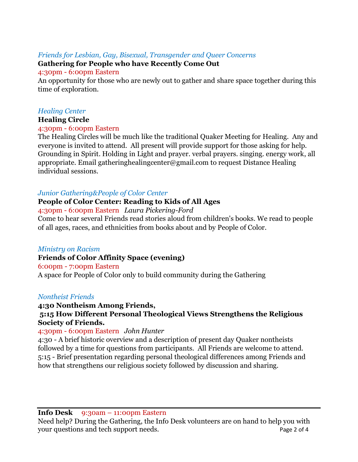## *Friends for Lesbian, Gay, Bisexual, Transgender and Queer Concerns*

## **Gathering for People who have Recently Come Out**

#### 4:30pm - 6:00pm Eastern

An opportunity for those who are newly out to gather and share space together during this time of exploration.

## *Healing Center*

## **Healing Circle**

## 4:30pm - 6:00pm Eastern

The Healing Circles will be much like the traditional Quaker Meeting for Healing. Any and everyone is invited to attend. All present will provide support for those asking for help. Grounding in Spirit. Holding in Light and prayer. verbal prayers. singing. energy work, all appropriate. Email gatheringhealingcenter@gmail.com to request Distance Healing individual sessions.

## *Junior Gathering&People of Color Center*

## **People of Color Center: Reading to Kids of All Ages**

### 4:30pm - 6:00pm Eastern *Laura Pickering-Ford*

Come to hear several Friends read stories aloud from children's books. We read to people of all ages, races, and ethnicities from books about and by People of Color.

## *Ministry on Racism*

## **Friends of Color Affinity Space (evening)**

6:00pm - 7:00pm Eastern A space for People of Color only to build community during the Gathering

## *Nontheist Friends*

#### **4:30 Nontheism Among Friends, 5:15 How Different Personal Theological Views Strengthens the Religious Society of Friends.**

## 4:30pm - 6:00pm Eastern *John Hunter*

4:30 - A brief historic overview and a description of present day Quaker nontheists followed by a time for questions from participants. All Friends are welcome to attend. 5:15 - Brief presentation regarding personal theological differences among Friends and how that strengthens our religious society followed by discussion and sharing.

**Info Desk** 9:30am – 11:00pm Eastern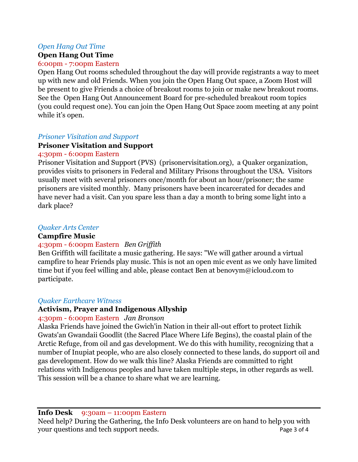#### *Open Hang Out Time*

#### **Open Hang Out Time**

#### 6:00pm - 7:00pm Eastern

Open Hang Out rooms scheduled throughout the day will provide registrants a way to meet up with new and old Friends. When you join the Open Hang Out space, a Zoom Host will be present to give Friends a choice of breakout rooms to join or make new breakout rooms. See the Open Hang Out Announcement Board for pre-scheduled breakout room topics (you could request one). You can join the Open Hang Out Space zoom meeting at any point while it's open.

#### *Prisoner Visitation and Support*

### **Prisoner Visitation and Support**

#### 4:30pm - 6:00pm Eastern

Prisoner Visitation and Support (PVS) (prisonervisitation.org), a Quaker organization, provides visits to prisoners in Federal and Military Prisons throughout the USA. Visitors usually meet with several prisoners once/month for about an hour/prisoner; the same prisoners are visited monthly. Many prisoners have been incarcerated for decades and have never had a visit. Can you spare less than a day a month to bring some light into a dark place?

### *Quaker Arts Center*

#### **Campfire Music**

## 4:30pm - 6:00pm Eastern *Ben Griffith*

Ben Griffith will facilitate a music gathering. He says: "We will gather around a virtual campfire to hear Friends play music. This is not an open mic event as we only have limited time but if you feel willing and able, please contact Ben at benovym@icloud.com to participate.

#### *Quaker Earthcare Witness*

## **Activism, Prayer and Indigenous Allyship**

#### 4:30pm - 6:00pm Eastern *Jan Bronson*

Alaska Friends have joined the Gwich'in Nation in their all-out effort to protect Iizhik Gwats'an Gwandaii Goodlit (the Sacred Place Where Life Begins), the coastal plain of the Arctic Refuge, from oil and gas development. We do this with humility, recognizing that a number of Inupiat people, who are also closely connected to these lands, do support oil and gas development. How do we walk this line? Alaska Friends are committed to right relations with Indigenous peoples and have taken multiple steps, in other regards as well. This session will be a chance to share what we are learning.

#### **Info Desk** 9:30am – 11:00pm Eastern

Need help? During the Gathering, the Info Desk volunteers are on hand to help you with your questions and tech support needs. Page 3 of 4